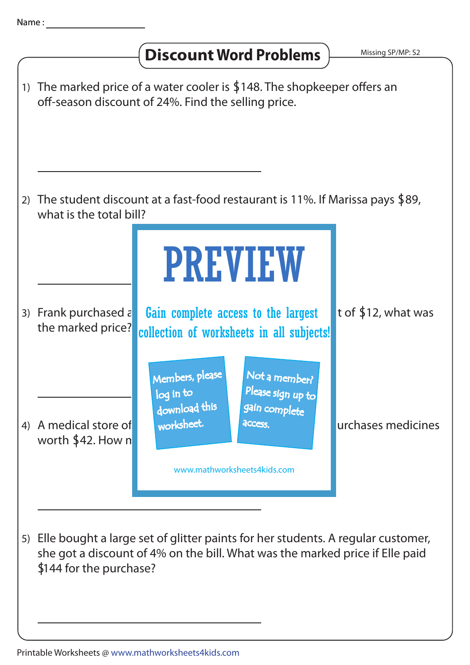